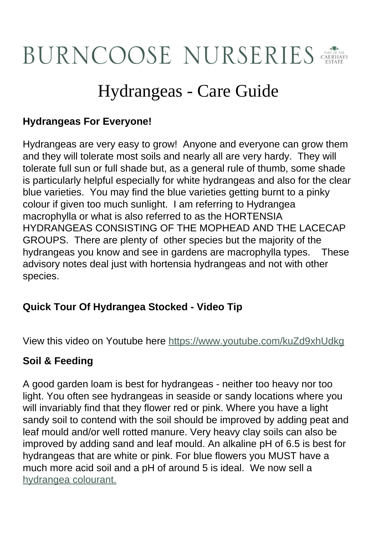# **BURNCOOSE NURSERIES**

# Hydrangeas - Care Guide

# **Hydrangeas For Everyone!**

Hydrangeas are very easy to grow! Anyone and everyone can grow them and they will tolerate most soils and nearly all are very hardy. They will tolerate full sun or full shade but, as a general rule of thumb, some shade is particularly helpful especially for white hydrangeas and also for the clear blue varieties. You may find the blue varieties getting burnt to a pinky colour if given too much sunlight. I am referring to Hydrangea macrophylla or what is also referred to as the HORTENSIA HYDRANGEAS CONSISTING OF THE MOPHEAD AND THE LACECAP GROUPS. There are plenty of other species but the majority of the hydrangeas you know and see in gardens are macrophylla types. These advisory notes deal just with hortensia hydrangeas and not with other species.

# **Quick Tour Of Hydrangea Stocked - Video Tip**

View this video on Youtube here<https://www.youtube.com/kuZd9xhUdkg>

# **Soil & Feeding**

A good garden loam is best for hydrangeas - neither too heavy nor too light. You often see hydrangeas in seaside or sandy locations where you will invariably find that they flower red or pink. Where you have a light sandy soil to contend with the soil should be improved by adding peat and leaf mould and/or well rotted manure. Very heavy clay soils can also be improved by adding sand and leaf mould. An alkaline pH of 6.5 is best for hydrangeas that are white or pink. For blue flowers you MUST have a much more acid soil and a pH of around 5 is ideal. We now sell a [hydrangea colourant.](https://www.burncoose.co.uk/site/itemdetails.cfm?id=6212&br=890)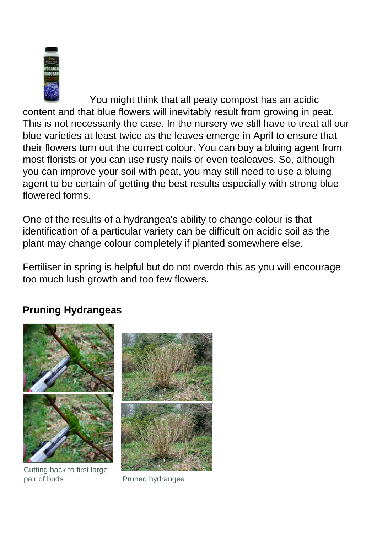

[Y](https://www.burncoose.co.uk/site/itemdetails.cfm?id=6212&br=890)ou might think that all peaty compost has an acidic content and that blue flowers will inevitably result from growing in peat. This is not necessarily the case. In the nursery we still have to treat all our blue varieties at least twice as the leaves emerge in April to ensure that their flowers turn out the correct colour. You can buy a bluing agent from most florists or you can use rusty nails or even tealeaves. So, although you can improve your soil with peat, you may still need to use a bluing agent to be certain of getting the best results especially with strong blue flowered forms.

One of the results of a hydrangea's ability to change colour is that identification of a particular variety can be difficult on acidic soil as the plant may change colour completely if planted somewhere else.

Fertiliser in spring is helpful but do not overdo this as you will encourage too much lush growth and too few flowers.

# **Pruning Hydrangeas**



Cutting back to first large pair of buds **Pruned hydrangea** 

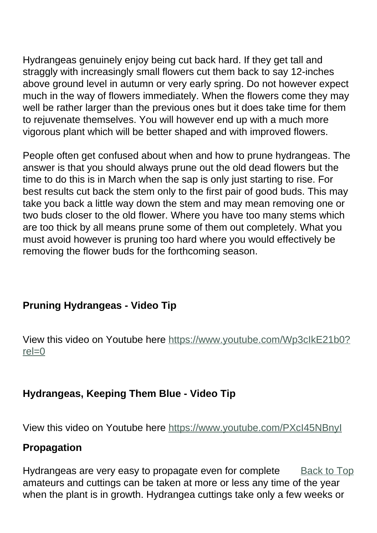Hydrangeas genuinely enjoy being cut back hard. If they get tall and straggly with increasingly small flowers cut them back to say 12-inches above ground level in autumn or very early spring. Do not however expect much in the way of flowers immediately. When the flowers come they may well be rather larger than the previous ones but it does take time for them to rejuvenate themselves. You will however end up with a much more vigorous plant which will be better shaped and with improved flowers.

People often get confused about when and how to prune hydrangeas. The answer is that you should always prune out the old dead flowers but the time to do this is in March when the sap is only just starting to rise. For best results cut back the stem only to the first pair of good buds. This may take you back a little way down the stem and may mean removing one or two buds closer to the old flower. Where you have too many stems which are too thick by all means prune some of them out completely. What you must avoid however is pruning too hard where you would effectively be removing the flower buds for the forthcoming season.

# **Pruning Hydrangeas - Video Tip**

View this video on Youtube here [https://www.youtube.com/Wp3cIkE21b0?](https://www.youtube.com/Wp3cIkE21b0?rel=0)  $rel=0$ 

#### **Hydrangeas, Keeping Them Blue - Video Tip**

View this video on Youtube here<https://www.youtube.com/PXcI45NBnyI>

#### **Propagation**

Back to Top Hydrangeas are very easy to propagate even for complete amateurs and cuttings can be taken at more or less any time of the year when the plant is in growth. Hydrangea cuttings take only a few weeks or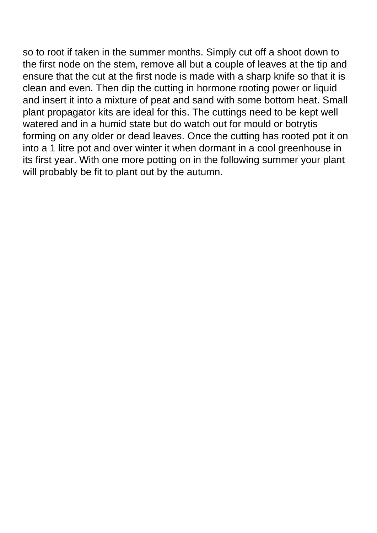so to root if taken in the summer months. Simply cut off a shoot down to the first node on the stem, remove all but a couple of leaves at the tip and ensure that the cut at the first node is made with a sharp knife so that it is clean and even. Then dip the cutting in hormone rooting power or liquid and insert it into a mixture of peat and sand with some bottom heat. Small plant propagator kits are ideal for this. The cuttings need to be kept well watered and in a humid state but do watch out for mould or botrytis forming on any older or dead leaves. Once the cutting has rooted pot it on into a 1 litre pot and over winter it when dormant in a cool greenhouse in its first year. With one more potting on in the following summer your plant will probably be fit to plant out by the autumn.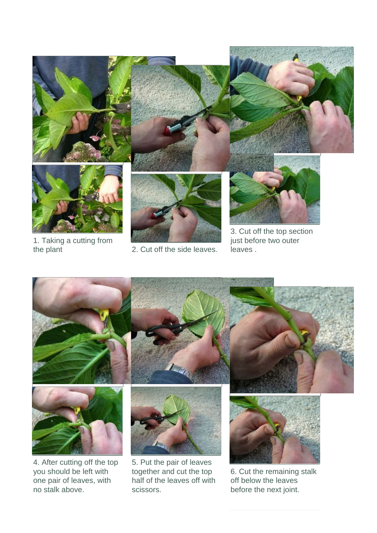

1. Taking a cutting from

2. Cut off the side leaves.

just before two outer leaves .



together and cut the top half of the leaves off with

scissors.

6. Cut the remaining stalk off below the leaves before the next joint.

4. After cutting off the top you should be left with one pair of leaves, with no stalk above.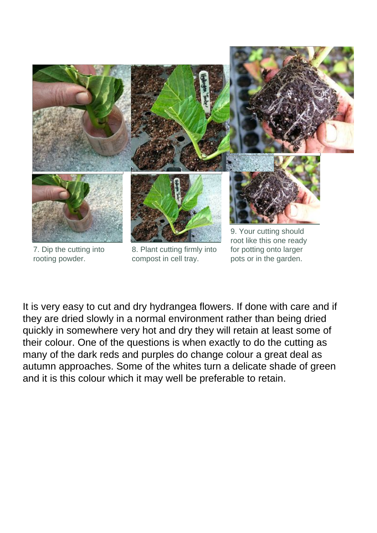

7. Dip the cutting into rooting powder.

8. Plant cutting firmly into compost in cell tray.

for potting onto larger pots or in the garden.

It is very easy to cut and dry hydrangea flowers. If done with care and if they are dried slowly in a normal environment rather than being dried quickly in somewhere very hot and dry they will retain at least some of their colour. One of the questions is when exactly to do the cutting as many of the dark reds and purples do change colour a great deal as autumn approaches. Some of the whites turn a delicate shade of green and it is this colour which it may well be preferable to retain.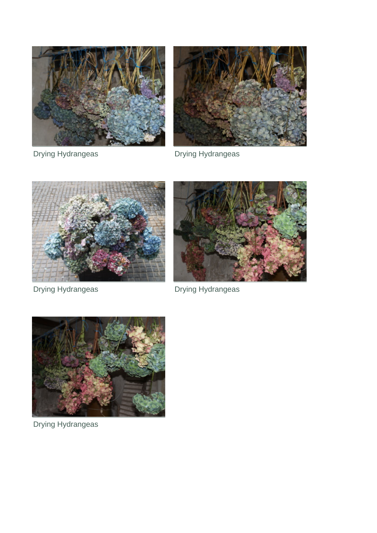



Drying Hydrangeas **Drying Hydrangeas** 



Drying Hydrangeas **Drying Hydrangeas** 





Drying Hydrangeas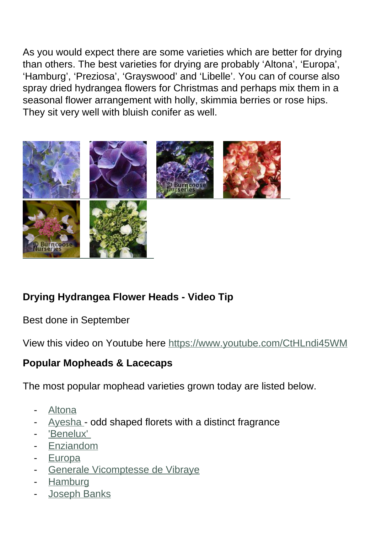As you would expect there are some varieties which are better for drying than others. The best varieties for drying are probably 'Altona', 'Europa', 'Hamburg', 'Preziosa', 'Grayswood' and 'Libelle'. You can of course also spray dried hydrangea flowers for Christmas and perhaps mix them in a seasonal flower arrangement with holly, skimmia berries or rose hips. They sit very well with bluish conifer as well.



# **Drying Hydrangea Flower Heads - Video Tip**

Best done in September

View this video on Youtube here<https://www.youtube.com/CtHLndi45WM>

# **Popular Mopheads & Lacecaps**

The most popular mophead varieties grown today are listed below.

- **[Altona](plants.cfm?pl_id=2244)**
- [Ayesha](plants.cfm?pl_id=2249)  odd shaped florets with a distinct fragrance
- 'Benelux'
- **[Enziandom](plants.cfm?pl_id=2252)**
- **[Europa](plants.cfm?pl_id=2253)**
- [Generale Vicomptesse de Vibraye](plants.cfm?pl_id=5228)
- **[Hamburg](plants.cfm?pl_id=5077)**
- [Joseph Banks](plants.cfm?pl_id=2261)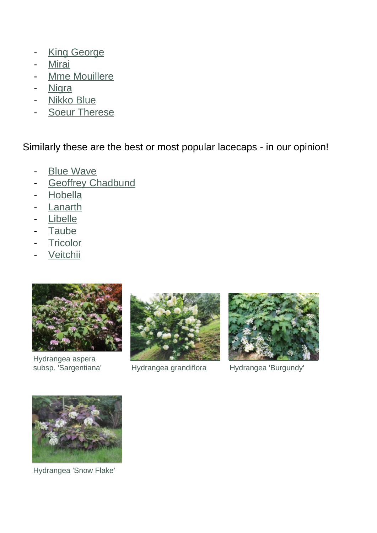- [King George](plants.cfm?pl_id=2262)
- **[Mirai](plants.cfm?pl_id=4785)**
- [Mme Mouillere](plants.cfm?pl_id=2267)
- [Nigra](plants.cfm?pl_id=2268)
- [Nikko Blue](plants.cfm?pl_id=2269)
- [Soeur Therese](plants.cfm?pl_id=5229)

Similarly these are the best or most popular lacecaps - in our opinion!

- [Blue Wave](plants.cfm?pl_id=2251)
- [Geoffrey Chadbund](plants.cfm?pl_id=2257)
- [Hobella](plants.cfm?pl_id=4786)
- **[Lanarth](plants.cfm?pl_id=2264)**
- [Libelle](plants.cfm?pl_id=2265)
- [Taube](plants.cfm?pl_id=2306)
- [Tricolor](plants.cfm?pl_id=2307)
- **[Veitchii](plants.cfm?pl_id=2308)**



Hydrangea aspera<br>subsp. 'Sargentiana'



Hydrangea grandiflora Hydrangea 'Burgundy'





Hydrangea 'Snow Flake'